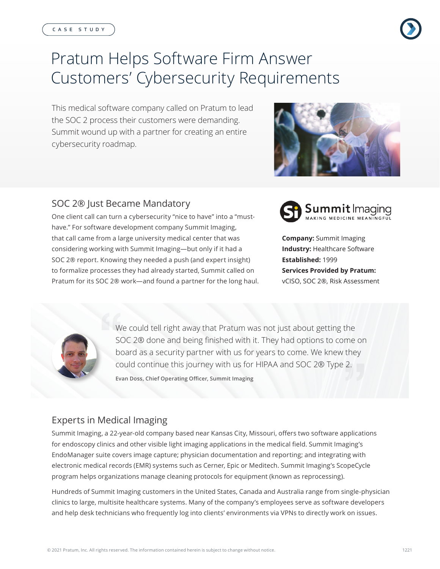# Pratum Helps Software Firm Answer Customers' Cybersecurity Requirements

This medical software company called on Pratum to lead the SOC 2 process their customers were demanding. Summit wound up with a partner for creating an entire cybersecurity roadmap.



### SOC 2® Just Became Mandatory

One client call can turn a cybersecurity "nice to have" into a "musthave." For software development company Summit Imaging, that call came from a large university medical center that was considering working with Summit Imaging—but only if it had a SOC 2® report. Knowing they needed a push (and expert insight) to formalize processes they had already started, Summit called on Pratum for its SOC 2® work—and found a partner for the long haul.



**Company:** Summit Imaging **Industry:** Healthcare Software **Established:** 1999 **Services Provided by Pratum:** vCISO, SOC 2®, Risk Assessment



We could tell right away that Pratum was not just about getting the SOC 2® done and being finished with it. They had options to come on board as a security partner with us for years to come. We knew they could continue this journey with us for HIPAA and SOC 2® Type 2. **Evan Doss, Chief Operating Officer, Summit Imaging**

## Experts in Medical Imaging

Summit Imaging, a 22-year-old company based near Kansas City, Missouri, offers two software applications for endoscopy clinics and other visible light imaging applications in the medical field. Summit Imaging's EndoManager suite covers image capture; physician documentation and reporting; and integrating with electronic medical records (EMR) systems such as Cerner, Epic or Meditech. Summit Imaging's ScopeCycle program helps organizations manage cleaning protocols for equipment (known as reprocessing).

Hundreds of Summit Imaging customers in the United States, Canada and Australia range from single-physician clinics to large, multisite healthcare systems. Many of the company's employees serve as software developers and help desk technicians who frequently log into clients' environments via VPNs to directly work on issues.